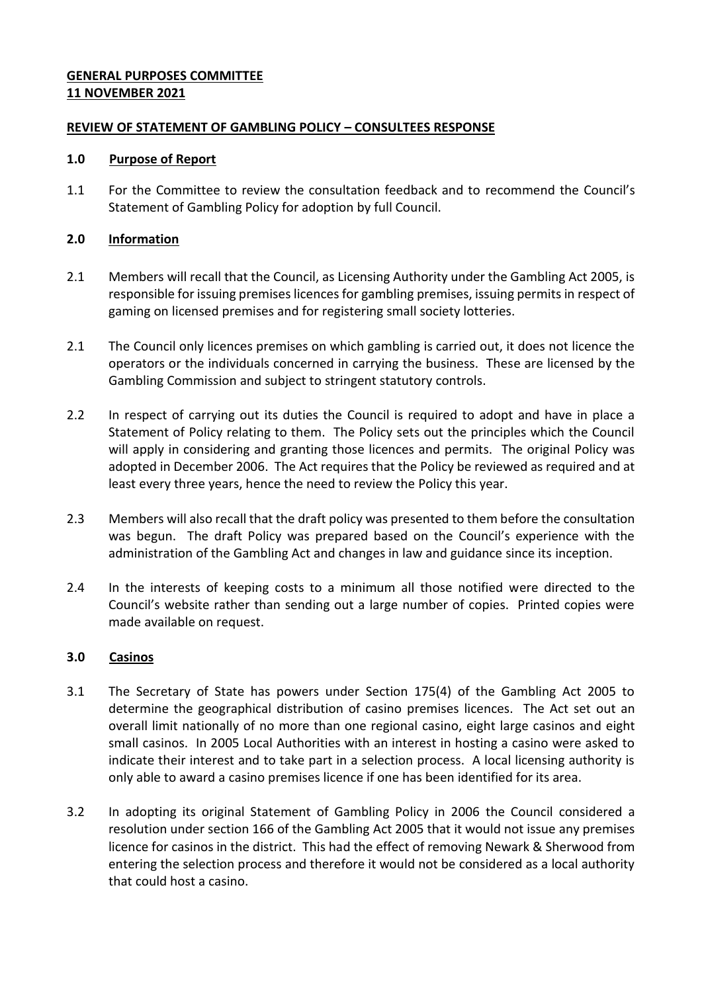# **GENERAL PURPOSES COMMITTEE 11 NOVEMBER 2021**

## **REVIEW OF STATEMENT OF GAMBLING POLICY – CONSULTEES RESPONSE**

#### **1.0 Purpose of Report**

1.1 For the Committee to review the consultation feedback and to recommend the Council's Statement of Gambling Policy for adoption by full Council.

## **2.0 Information**

- 2.1 Members will recall that the Council, as Licensing Authority under the Gambling Act 2005, is responsible for issuing premises licences for gambling premises, issuing permits in respect of gaming on licensed premises and for registering small society lotteries.
- 2.1 The Council only licences premises on which gambling is carried out, it does not licence the operators or the individuals concerned in carrying the business. These are licensed by the Gambling Commission and subject to stringent statutory controls.
- 2.2 In respect of carrying out its duties the Council is required to adopt and have in place a Statement of Policy relating to them. The Policy sets out the principles which the Council will apply in considering and granting those licences and permits. The original Policy was adopted in December 2006. The Act requires that the Policy be reviewed as required and at least every three years, hence the need to review the Policy this year.
- 2.3 Members will also recall that the draft policy was presented to them before the consultation was begun. The draft Policy was prepared based on the Council's experience with the administration of the Gambling Act and changes in law and guidance since its inception.
- 2.4 In the interests of keeping costs to a minimum all those notified were directed to the Council's website rather than sending out a large number of copies. Printed copies were made available on request.

### **3.0 Casinos**

- 3.1 The Secretary of State has powers under Section 175(4) of the Gambling Act 2005 to determine the geographical distribution of casino premises licences. The Act set out an overall limit nationally of no more than one regional casino, eight large casinos and eight small casinos. In 2005 Local Authorities with an interest in hosting a casino were asked to indicate their interest and to take part in a selection process. A local licensing authority is only able to award a casino premises licence if one has been identified for its area.
- 3.2 In adopting its original Statement of Gambling Policy in 2006 the Council considered a resolution under section 166 of the Gambling Act 2005 that it would not issue any premises licence for casinos in the district. This had the effect of removing Newark & Sherwood from entering the selection process and therefore it would not be considered as a local authority that could host a casino.